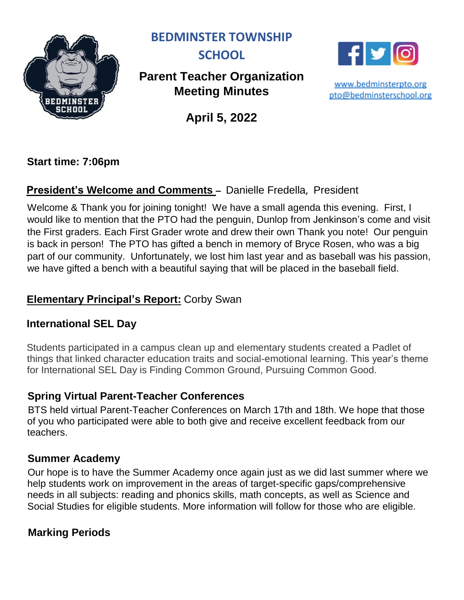

**BEDMINSTER TOWNSHIP** 



## **Parent Teacher Organization Meeting Minutes**

**April 5, 2022**

**Start time: 7:06pm**

## **President's Welcome and Comments –** Danielle Fredella, President

Welcome & Thank you for joining tonight! We have a small agenda this evening. First, I would like to mention that the PTO had the penguin, Dunlop from Jenkinson's come and visit the First graders. Each First Grader wrote and drew their own Thank you note! Our penguin is back in person! The PTO has gifted a bench in memory of Bryce Rosen, who was a big part of our community. Unfortunately, we lost him last year and as baseball was his passion, we have gifted a bench with a beautiful saying that will be placed in the baseball field.

### **Elementary Principal's Report:** Corby Swan

### **International SEL Day**

Students participated in a campus clean up and elementary students created a Padlet of things that linked character education traits and social-emotional learning. This year's theme for International SEL Day is Finding Common Ground, Pursuing Common Good.

## **Spring Virtual Parent-Teacher Conferences**

BTS held virtual Parent-Teacher Conferences on March 17th and 18th. We hope that those of you who participated were able to both give and receive excellent feedback from our teachers.

### **Summer Academy**

Our hope is to have the Summer Academy once again just as we did last summer where we help students work on improvement in the areas of target-specific gaps/comprehensive needs in all subjects: reading and phonics skills, math concepts, as well as Science and Social Studies for eligible students. More information will follow for those who are eligible.

## **Marking Periods**



www.bedminsterpto.org pto@bedminsterschool.org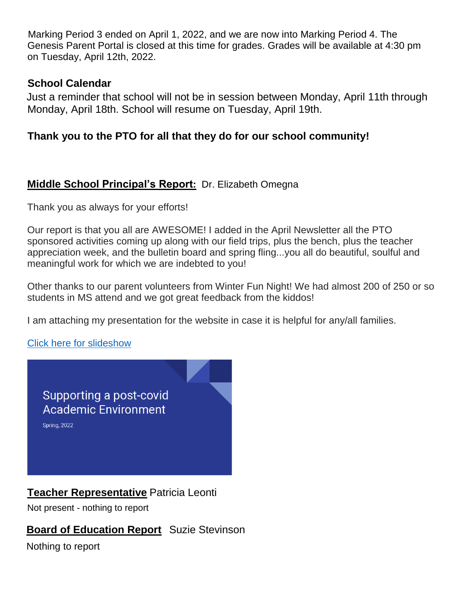Marking Period 3 ended on April 1, 2022, and we are now into Marking Period 4. The Genesis Parent Portal is closed at this time for grades. Grades will be available at 4:30 pm on Tuesday, April 12th, 2022.

#### **School Calendar**

Just a reminder that school will not be in session between Monday, April 11th through Monday, April 18th. School will resume on Tuesday, April 19th.

### **Thank you to the PTO for all that they do for our school community!**

### **Middle School Principal's Report:** Dr. Elizabeth Omegna

Thank you as always for your efforts!

Our report is that you all are AWESOME! I added in the April Newsletter all the PTO sponsored activities coming up along with our field trips, plus the bench, plus the teacher appreciation week, and the bulletin board and spring fling...you all do beautiful, soulful and meaningful work for which we are indebted to you!

Other thanks to our parent volunteers from Winter Fun Night! We had almost 200 of 250 or so students in MS attend and we got great feedback from the kiddos!

I am attaching my presentation for the website in case it is helpful for any/all families.

[Click here for slideshow](Supporting%20a%20Post-Covid%20School%20Environment.pdf)



**Teacher Representative** Patricia Leonti

Not present - nothing to report

**Board of Education Report** Suzie Stevinson

Nothing to report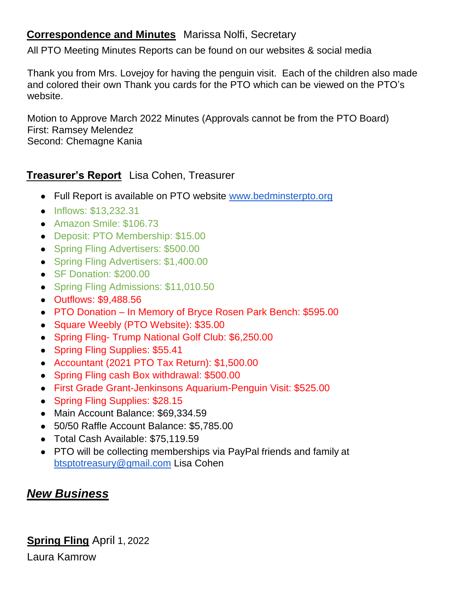## **Correspondence and Minutes** Marissa Nolfi, Secretary

All PTO Meeting Minutes Reports can be found on our websites & social media

Thank you from Mrs. Lovejoy for having the penguin visit. Each of the children also made and colored their own Thank you cards for the PTO which can be viewed on the PTO's website.

Motion to Approve March 2022 Minutes (Approvals cannot be from the PTO Board) First: Ramsey Melendez Second: Chemagne Kania

## **Treasurer's Report** Lisa Cohen, Treasurer

- Full Report is available on PTO website [www.bedminsterpto.org](http://www.bedminsterpto.org/)
- Inflows: \$13,232.31
- Amazon Smile: \$106.73
- Deposit: PTO Membership: \$15.00
- Spring Fling Advertisers: \$500.00
- Spring Fling Advertisers: \$1,400.00
- SF Donation: \$200.00
- Spring Fling Admissions: \$11,010.50
- Outflows: \$9,488.56
- PTO Donation In Memory of Bryce Rosen Park Bench: \$595.00
- Square Weebly (PTO Website): \$35.00
- Spring Fling- Trump National Golf Club: \$6,250.00
- Spring Fling Supplies: \$55.41
- Accountant (2021 PTO Tax Return): \$1,500.00
- Spring Fling cash Box withdrawal: \$500.00
- First Grade Grant-Jenkinsons Aquarium-Penguin Visit: \$525.00
- Spring Fling Supplies: \$28.15
- Main Account Balance: \$69,334.59
- 50/50 Raffle Account Balance: \$5,785.00
- Total Cash Available: \$75,119.59
- PTO will be collecting memberships via PayPal friends and family at btsptotreasury@gmail.com Lisa Cohen

# *New Business*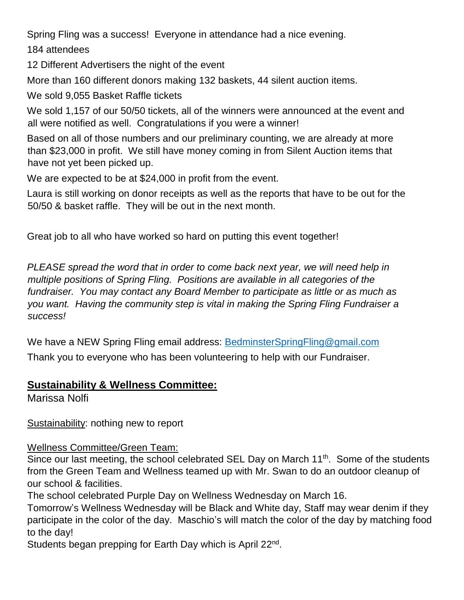Spring Fling was a success! Everyone in attendance had a nice evening.

184 attendees

12 Different Advertisers the night of the event

More than 160 different donors making 132 baskets, 44 silent auction items.

We sold 9,055 Basket Raffle tickets

We sold 1,157 of our 50/50 tickets, all of the winners were announced at the event and all were notified as well. Congratulations if you were a winner!

Based on all of those numbers and our preliminary counting, we are already at more than \$23,000 in profit. We still have money coming in from Silent Auction items that have not yet been picked up.

We are expected to be at \$24,000 in profit from the event.

Laura is still working on donor receipts as well as the reports that have to be out for the 50/50 & basket raffle. They will be out in the next month.

Great job to all who have worked so hard on putting this event together!

*PLEASE spread the word that in order to come back next year, we will need help in multiple positions of Spring Fling. Positions are available in all categories of the fundraiser. You may contact any Board Member to participate as little or as much as you want. Having the community step is vital in making the Spring Fling Fundraiser a success!*

We have a NEW Spring Fling email address: [BedminsterSpringFling@gmail.com](mailto:BedminsterSpringFling@gmail.com) Thank you to everyone who has been volunteering to help with our Fundraiser.

### **Sustainability & Wellness Committee:**

Marissa Nolfi

Sustainability: nothing new to report

#### Wellness Committee/Green Team:

Since our last meeting, the school celebrated SEL Day on March  $11<sup>th</sup>$ . Some of the students from the Green Team and Wellness teamed up with Mr. Swan to do an outdoor cleanup of our school & facilities.

The school celebrated Purple Day on Wellness Wednesday on March 16.

Tomorrow's Wellness Wednesday will be Black and White day, Staff may wear denim if they participate in the color of the day. Maschio's will match the color of the day by matching food to the day!

Students began prepping for Earth Day which is April 22<sup>nd</sup>.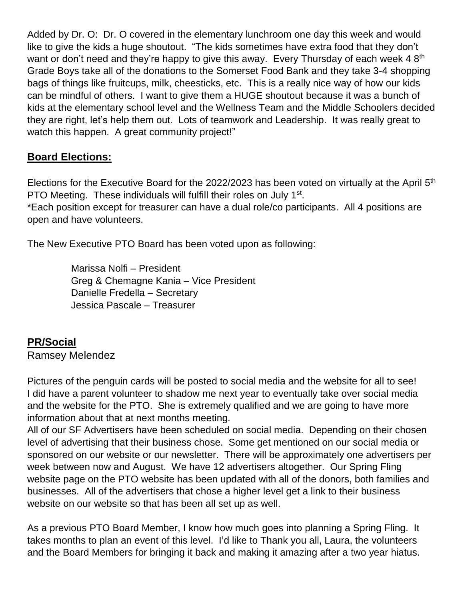Added by Dr. O: Dr. O covered in the elementary lunchroom one day this week and would like to give the kids a huge shoutout. "The kids sometimes have extra food that they don't want or don't need and they're happy to give this away. Every Thursday of each week 4 8<sup>th</sup> Grade Boys take all of the donations to the Somerset Food Bank and they take 3-4 shopping bags of things like fruitcups, milk, cheesticks, etc. This is a really nice way of how our kids can be mindful of others. I want to give them a HUGE shoutout because it was a bunch of kids at the elementary school level and the Wellness Team and the Middle Schoolers decided they are right, let's help them out. Lots of teamwork and Leadership. It was really great to watch this happen. A great community project!"

### **Board Elections:**

Elections for the Executive Board for the 2022/2023 has been voted on virtually at the April  $5<sup>th</sup>$ PTO Meeting. These individuals will fulfill their roles on July 1<sup>st</sup>. \*Each position except for treasurer can have a dual role/co participants. All 4 positions are open and have volunteers.

The New Executive PTO Board has been voted upon as following:

 Marissa Nolfi – President Greg & Chemagne Kania – Vice President Danielle Fredella – Secretary Jessica Pascale – Treasurer

### **PR/Social**

Ramsey Melendez

Pictures of the penguin cards will be posted to social media and the website for all to see! I did have a parent volunteer to shadow me next year to eventually take over social media and the website for the PTO. She is extremely qualified and we are going to have more information about that at next months meeting.

All of our SF Advertisers have been scheduled on social media. Depending on their chosen level of advertising that their business chose. Some get mentioned on our social media or sponsored on our website or our newsletter. There will be approximately one advertisers per week between now and August. We have 12 advertisers altogether. Our Spring Fling website page on the PTO website has been updated with all of the donors, both families and businesses. All of the advertisers that chose a higher level get a link to their business website on our website so that has been all set up as well.

As a previous PTO Board Member, I know how much goes into planning a Spring Fling. It takes months to plan an event of this level. I'd like to Thank you all, Laura, the volunteers and the Board Members for bringing it back and making it amazing after a two year hiatus.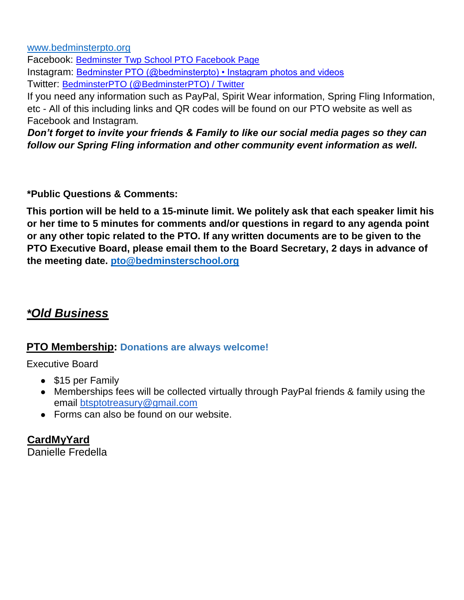[www.bedminsterpto.org](http://www.bedminsterpto.org/)

Facebook: [Bedminster Twp School PTO Facebook Page](https://www.facebook.com/search/top?q=bedminster%20township%20school%20pto) Instagram: [Bedminster PTO \(@bedminsterpto\) • Instagram photos and videos](https://www.instagram.com/bedminsterpto/) Twitter: [BedminsterPTO \(@BedminsterPTO\) / Twitter](https://twitter.com/BedminsterPTO)

If you need any information such as PayPal, Spirit Wear information, Spring Fling Information, etc - All of this including links and QR codes will be found on our PTO website as well as Facebook and Instagram*.*

*Don't forget to invite your friends & Family to like our social media pages so they can follow our Spring Fling information and other community event information as well.* 

**\*Public Questions & Comments:** 

**This portion will be held to a 15-minute limit. We politely ask that each speaker limit his or her time to 5 minutes for comments and/or questions in regard to any agenda point or any other topic related to the PTO. If any written documents are to be given to the PTO Executive Board, please email them to the Board Secretary, 2 days in advance of the meeting date. [pto@bedminsterschool.org](mailto:pto@bedminsterschool.org)**

## *\*Old Business*

#### **PTO Membership: Donations are always welcome!**

Executive Board

- \$15 per Family
- Memberships fees will be collected virtually through PayPal friends & family using the email btsptotreasury@gmail.com
- Forms can also be found on our website.

### **CardMyYard**

Danielle Fredella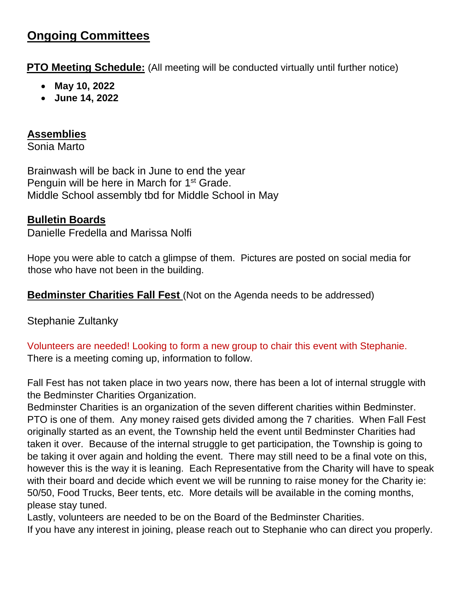# **Ongoing Committees**

**PTO Meeting Schedule:** (All meeting will be conducted virtually until further notice)

- **May 10, 2022**
- **June 14, 2022**

### **Assemblies**

Sonia Marto

Brainwash will be back in June to end the year Penguin will be here in March for 1<sup>st</sup> Grade. Middle School assembly tbd for Middle School in May

## **Bulletin Boards**

Danielle Fredella and Marissa Nolfi

Hope you were able to catch a glimpse of them. Pictures are posted on social media for those who have not been in the building.

**Bedminster Charities Fall Fest** (Not on the Agenda needs to be addressed)

Stephanie Zultanky

Volunteers are needed! Looking to form a new group to chair this event with Stephanie. There is a meeting coming up, information to follow.

Fall Fest has not taken place in two years now, there has been a lot of internal struggle with the Bedminster Charities Organization.

Bedminster Charities is an organization of the seven different charities within Bedminster. PTO is one of them. Any money raised gets divided among the 7 charities. When Fall Fest originally started as an event, the Township held the event until Bedminster Charities had taken it over. Because of the internal struggle to get participation, the Township is going to be taking it over again and holding the event. There may still need to be a final vote on this, however this is the way it is leaning. Each Representative from the Charity will have to speak with their board and decide which event we will be running to raise money for the Charity ie: 50/50, Food Trucks, Beer tents, etc. More details will be available in the coming months, please stay tuned.

Lastly, volunteers are needed to be on the Board of the Bedminster Charities.

If you have any interest in joining, please reach out to Stephanie who can direct you properly.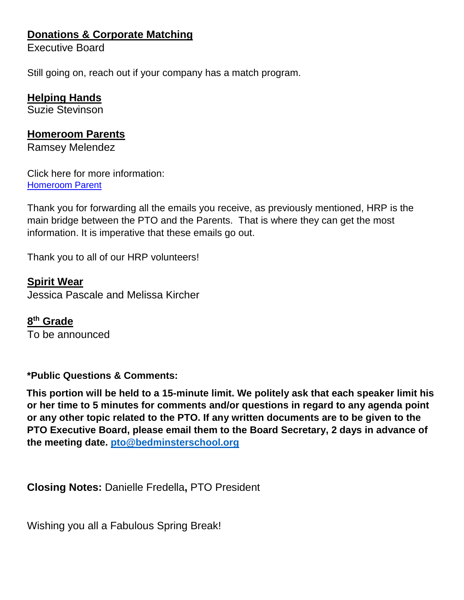## **Donations & Corporate Matching**

Executive Board

Still going on, reach out if your company has a match program.

#### **Helping Hands**

Suzie Stevinson

#### **Homeroom Parents**

Ramsey Melendez

Click here for more information: [Homeroom Parent](http://www.bedminsterpto.org/homeroom-parent.html) 

Thank you for forwarding all the emails you receive, as previously mentioned, HRP is the main bridge between the PTO and the Parents. That is where they can get the most information. It is imperative that these emails go out.

Thank you to all of our HRP volunteers!

#### **Spirit Wear**

Jessica Pascale and Melissa Kircher

**8 th Grade** To be announced

#### **\*Public Questions & Comments:**

**This portion will be held to a 15-minute limit. We politely ask that each speaker limit his or her time to 5 minutes for comments and/or questions in regard to any agenda point or any other topic related to the PTO. If any written documents are to be given to the PTO Executive Board, please email them to the Board Secretary, 2 days in advance of the meeting date. [pto@bedminsterschool.org](mailto:pto@bedminsterschool.org)**

**Closing Notes:** Danielle Fredella**,** PTO President

Wishing you all a Fabulous Spring Break!